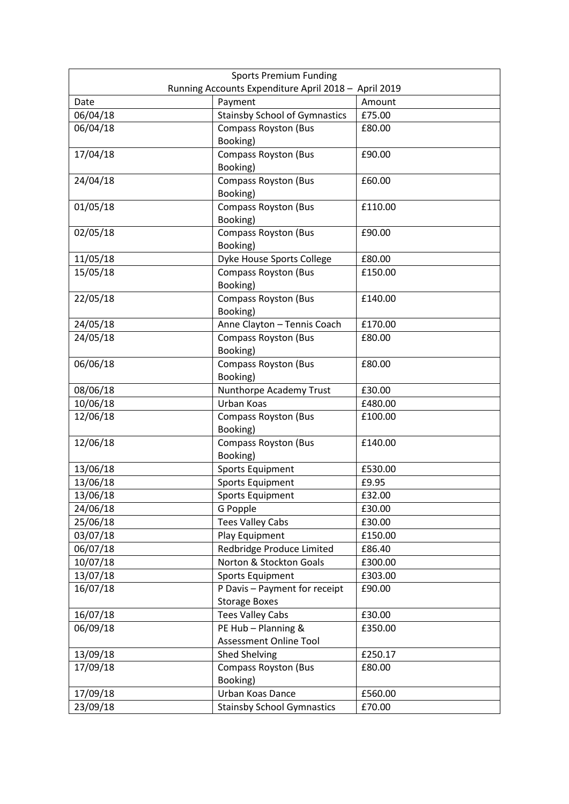| <b>Sports Premium Funding</b><br>Running Accounts Expenditure April 2018 - April 2019 |                                         |         |  |
|---------------------------------------------------------------------------------------|-----------------------------------------|---------|--|
|                                                                                       |                                         |         |  |
| Date                                                                                  | Payment                                 | Amount  |  |
| 06/04/18                                                                              | <b>Stainsby School of Gymnastics</b>    | £75.00  |  |
| 06/04/18                                                                              | <b>Compass Royston (Bus</b><br>Booking) | £80.00  |  |
| 17/04/18                                                                              | <b>Compass Royston (Bus</b>             | £90.00  |  |
|                                                                                       | Booking)                                |         |  |
| 24/04/18                                                                              | <b>Compass Royston (Bus</b><br>Booking) | £60.00  |  |
| 01/05/18                                                                              | <b>Compass Royston (Bus</b><br>Booking) | £110.00 |  |
| 02/05/18                                                                              | <b>Compass Royston (Bus</b><br>Booking) | £90.00  |  |
| 11/05/18                                                                              | Dyke House Sports College               | £80.00  |  |
| 15/05/18                                                                              | <b>Compass Royston (Bus</b>             | £150.00 |  |
|                                                                                       | Booking)                                |         |  |
| 22/05/18                                                                              | <b>Compass Royston (Bus</b><br>Booking) | £140.00 |  |
| 24/05/18                                                                              | Anne Clayton - Tennis Coach             | £170.00 |  |
| 24/05/18                                                                              | <b>Compass Royston (Bus</b><br>Booking) | £80.00  |  |
| 06/06/18                                                                              | <b>Compass Royston (Bus</b><br>Booking) | £80.00  |  |
| 08/06/18                                                                              | Nunthorpe Academy Trust                 | £30.00  |  |
| 10/06/18                                                                              | Urban Koas                              | £480.00 |  |
| 12/06/18                                                                              | <b>Compass Royston (Bus</b><br>Booking) | £100.00 |  |
| 12/06/18                                                                              | <b>Compass Royston (Bus</b><br>Booking) | £140.00 |  |
| 13/06/18                                                                              | <b>Sports Equipment</b>                 | £530.00 |  |
| 13/06/18                                                                              | <b>Sports Equipment</b>                 | £9.95   |  |
| 13/06/18                                                                              | Sports Equipment                        | £32.00  |  |
| 24/06/18                                                                              | G Popple                                | £30.00  |  |
| 25/06/18                                                                              | <b>Tees Valley Cabs</b>                 | £30.00  |  |
| 03/07/18                                                                              | Play Equipment                          | £150.00 |  |
| 06/07/18                                                                              | Redbridge Produce Limited               | £86.40  |  |
| 10/07/18                                                                              | Norton & Stockton Goals                 | £300.00 |  |
| 13/07/18                                                                              | <b>Sports Equipment</b>                 | £303.00 |  |
| 16/07/18                                                                              | P Davis - Payment for receipt           | £90.00  |  |
|                                                                                       | <b>Storage Boxes</b>                    |         |  |
| 16/07/18                                                                              | <b>Tees Valley Cabs</b>                 | £30.00  |  |
| 06/09/18                                                                              | PE Hub - Planning &                     | £350.00 |  |
|                                                                                       | Assessment Online Tool                  |         |  |
| 13/09/18                                                                              | <b>Shed Shelving</b>                    | £250.17 |  |
| 17/09/18                                                                              | <b>Compass Royston (Bus</b><br>Booking) | £80.00  |  |
| 17/09/18                                                                              | Urban Koas Dance                        | £560.00 |  |
| 23/09/18                                                                              | <b>Stainsby School Gymnastics</b>       | £70.00  |  |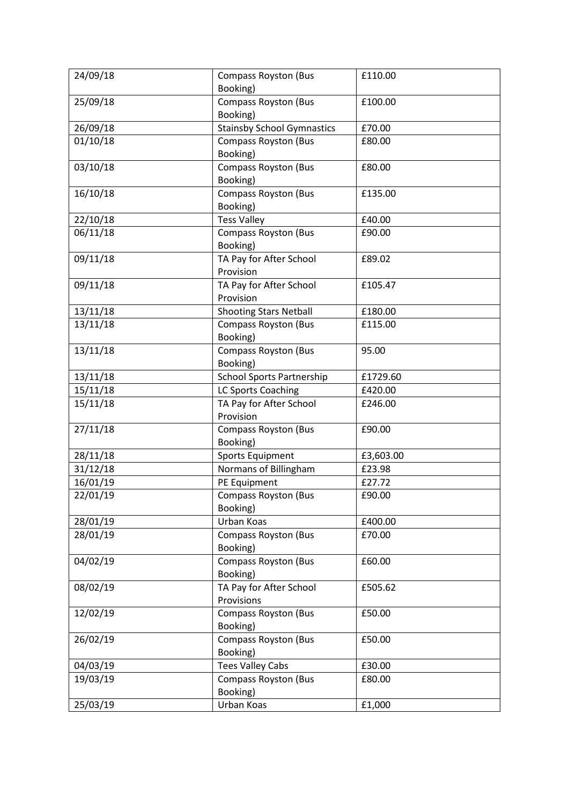| 24/09/18 | <b>Compass Royston (Bus</b><br>Booking) | £110.00   |
|----------|-----------------------------------------|-----------|
|          |                                         |           |
| 25/09/18 | <b>Compass Royston (Bus</b><br>Booking) | £100.00   |
| 26/09/18 | <b>Stainsby School Gymnastics</b>       | £70.00    |
| 01/10/18 | <b>Compass Royston (Bus</b>             | £80.00    |
|          | Booking)                                |           |
| 03/10/18 | <b>Compass Royston (Bus</b>             | £80.00    |
|          | Booking)                                |           |
| 16/10/18 | <b>Compass Royston (Bus</b>             | £135.00   |
|          | Booking)                                |           |
| 22/10/18 | <b>Tess Valley</b>                      | £40.00    |
| 06/11/18 | <b>Compass Royston (Bus</b>             | £90.00    |
|          | Booking)                                |           |
| 09/11/18 | TA Pay for After School                 | £89.02    |
|          | Provision                               |           |
|          |                                         | £105.47   |
| 09/11/18 | TA Pay for After School                 |           |
|          | Provision                               |           |
| 13/11/18 | <b>Shooting Stars Netball</b>           | £180.00   |
| 13/11/18 | <b>Compass Royston (Bus</b>             | £115.00   |
|          | Booking)                                |           |
| 13/11/18 | <b>Compass Royston (Bus</b>             | 95.00     |
|          | Booking)                                |           |
| 13/11/18 | <b>School Sports Partnership</b>        | £1729.60  |
| 15/11/18 | LC Sports Coaching                      | £420.00   |
| 15/11/18 | TA Pay for After School<br>Provision    | £246.00   |
| 27/11/18 | <b>Compass Royston (Bus</b><br>Booking) | £90.00    |
| 28/11/18 | <b>Sports Equipment</b>                 | £3,603.00 |
| 31/12/18 | Normans of Billingham                   | £23.98    |
| 16/01/19 | PE Equipment                            | £27.72    |
| 22/01/19 | <b>Compass Royston (Bus</b>             | £90.00    |
|          | Booking)                                |           |
| 28/01/19 | Urban Koas                              | £400.00   |
| 28/01/19 | <b>Compass Royston (Bus</b>             | £70.00    |
|          | Booking)                                |           |
| 04/02/19 | <b>Compass Royston (Bus</b>             | £60.00    |
|          | Booking)                                |           |
| 08/02/19 | TA Pay for After School                 | £505.62   |
|          | Provisions                              |           |
| 12/02/19 | <b>Compass Royston (Bus</b>             | £50.00    |
|          | Booking)                                |           |
| 26/02/19 | <b>Compass Royston (Bus</b>             | £50.00    |
|          | Booking)                                |           |
| 04/03/19 | <b>Tees Valley Cabs</b>                 | £30.00    |
| 19/03/19 | <b>Compass Royston (Bus</b>             | £80.00    |
|          | Booking)                                |           |
| 25/03/19 | Urban Koas                              | £1,000    |